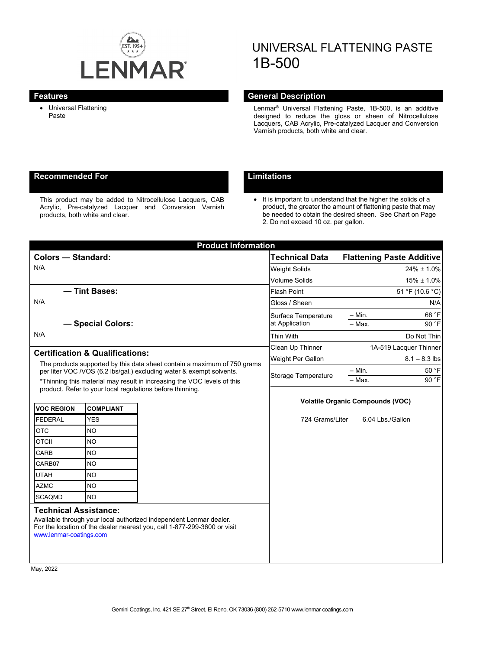

# UNIVERSAL FLATTENING PASTE 1B-500

• Universal Flattening Paste

# **Features General Description**

Lenmar® Universal Flattening Paste, 1B-500, is an additive designed to reduce the gloss or sheen of Nitrocellulose Lacquers, CAB Acrylic, Pre-catalyzed Lacquer and Conversion Varnish products, both white and clear.

# **Recommended For Limitations**

This product may be added to Nitrocellulose Lacquers, CAB Acrylic, Pre-catalyzed Lacquer and Conversion Varnish products, both white and clear.

• It is important to understand that the higher the solids of a product, the greater the amount of flattening paste that may be needed to obtain the desired sheen. See Chart on Page 2. Do not exceed 10 oz. per gallon.

|                                                                                                                                                  | <b>Product Information</b>     |                                                                                                                                                |                                         |                                  |                  |  |  |
|--------------------------------------------------------------------------------------------------------------------------------------------------|--------------------------------|------------------------------------------------------------------------------------------------------------------------------------------------|-----------------------------------------|----------------------------------|------------------|--|--|
| <b>Colors - Standard:</b>                                                                                                                        |                                |                                                                                                                                                | <b>Technical Data</b>                   | <b>Flattening Paste Additive</b> |                  |  |  |
| N/A                                                                                                                                              |                                |                                                                                                                                                | <b>Weight Solids</b>                    |                                  | $24\% \pm 1.0\%$ |  |  |
|                                                                                                                                                  |                                |                                                                                                                                                | <b>Volume Solids</b>                    |                                  | $15\% \pm 1.0\%$ |  |  |
| - Tint Bases:                                                                                                                                    |                                |                                                                                                                                                | <b>Flash Point</b>                      | 51 °F (10.6 °C)                  |                  |  |  |
| N/A                                                                                                                                              |                                |                                                                                                                                                | Gloss / Sheen                           |                                  | N/A              |  |  |
|                                                                                                                                                  |                                |                                                                                                                                                | Surface Temperature                     | $-$ Min.                         | 68 °F            |  |  |
| - Special Colors:                                                                                                                                |                                |                                                                                                                                                | at Application                          | $-$ Max.                         | 90 °F            |  |  |
| N/A                                                                                                                                              |                                |                                                                                                                                                | Thin With                               | Do Not Thin                      |                  |  |  |
|                                                                                                                                                  |                                |                                                                                                                                                | Clean Up Thinner                        | 1A-519 Lacquer Thinner           |                  |  |  |
| <b>Certification &amp; Qualifications:</b>                                                                                                       |                                |                                                                                                                                                | Weight Per Gallon                       |                                  | $8.1 - 8.3$ lbs  |  |  |
| The products supported by this data sheet contain a maximum of 750 grams<br>per liter VOC /VOS (6.2 lbs/gal.) excluding water & exempt solvents. |                                |                                                                                                                                                | Storage Temperature                     | $- Min.$                         | 50 °F            |  |  |
| *Thinning this material may result in increasing the VOC levels of this                                                                          |                                |                                                                                                                                                |                                         | - Max.                           | 90 °F            |  |  |
|                                                                                                                                                  |                                | product. Refer to your local regulations before thinning.                                                                                      |                                         |                                  |                  |  |  |
|                                                                                                                                                  |                                |                                                                                                                                                | <b>Volatile Organic Compounds (VOC)</b> |                                  |                  |  |  |
| <b>VOC REGION</b>                                                                                                                                | <b>COMPLIANT</b><br><b>YES</b> |                                                                                                                                                | 724 Grams/Liter                         | 6.04 Lbs./Gallon                 |                  |  |  |
| <b>FEDERAL</b>                                                                                                                                   |                                |                                                                                                                                                |                                         |                                  |                  |  |  |
| <b>OTC</b>                                                                                                                                       | <b>NO</b>                      |                                                                                                                                                |                                         |                                  |                  |  |  |
| <b>OTCII</b>                                                                                                                                     | <b>NO</b>                      |                                                                                                                                                |                                         |                                  |                  |  |  |
| <b>CARB</b>                                                                                                                                      | <b>NO</b>                      |                                                                                                                                                |                                         |                                  |                  |  |  |
| CARB07                                                                                                                                           | <b>NO</b>                      |                                                                                                                                                |                                         |                                  |                  |  |  |
| <b>UTAH</b><br><b>AZMC</b>                                                                                                                       | <b>NO</b>                      |                                                                                                                                                |                                         |                                  |                  |  |  |
|                                                                                                                                                  | <b>NO</b>                      |                                                                                                                                                |                                         |                                  |                  |  |  |
| <b>SCAQMD</b>                                                                                                                                    | <b>NO</b>                      |                                                                                                                                                |                                         |                                  |                  |  |  |
| <b>Technical Assistance:</b>                                                                                                                     |                                |                                                                                                                                                |                                         |                                  |                  |  |  |
|                                                                                                                                                  |                                | Available through your local authorized independent Lenmar dealer.<br>For the location of the dealer nearest you, call 1-877-299-3600 or visit |                                         |                                  |                  |  |  |
| www.lenmar-coatings.com                                                                                                                          |                                |                                                                                                                                                |                                         |                                  |                  |  |  |
|                                                                                                                                                  |                                |                                                                                                                                                |                                         |                                  |                  |  |  |
|                                                                                                                                                  |                                |                                                                                                                                                |                                         |                                  |                  |  |  |

May, 2022